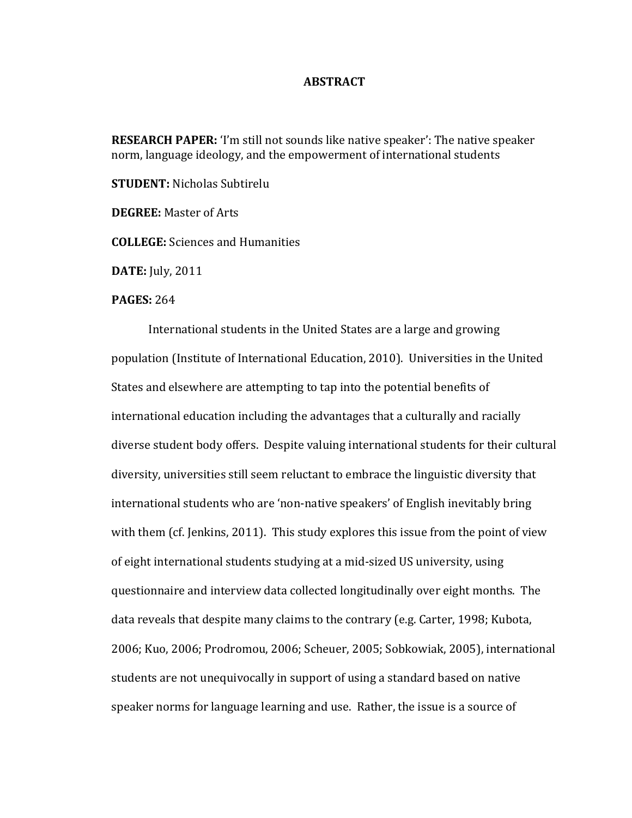## **ABSTRACT**

**RESEARCH PAPER:** 'I'm still not sounds like native speaker': The native speaker norm, language ideology, and the empowerment of international students

**STUDENT:** Nicholas Subtirelu

**DEGREE:** Master of Arts

**COLLEGE:** Sciences and Humanities

**DATE:** July, 2011

## **PAGES: 264**

International students in the United States are a large and growing population (Institute of International Education, 2010). Universities in the United States and elsewhere are attempting to tap into the potential benefits of international education including the advantages that a culturally and racially diverse student body offers. Despite valuing international students for their cultural diversity, universities still seem reluctant to embrace the linguistic diversity that international students who are 'non-native speakers' of English inevitably bring with them (cf. Jenkins, 2011). This study explores this issue from the point of view of eight international students studying at a mid-sized US university, using questionnaire and interview data collected longitudinally over eight months. The data reveals that despite many claims to the contrary (e.g. Carter, 1998; Kubota, 2006; Kuo, 2006; Prodromou, 2006; Scheuer, 2005; Sobkowiak, 2005), international students are not unequivocally in support of using a standard based on native speaker norms for language learning and use. Rather, the issue is a source of